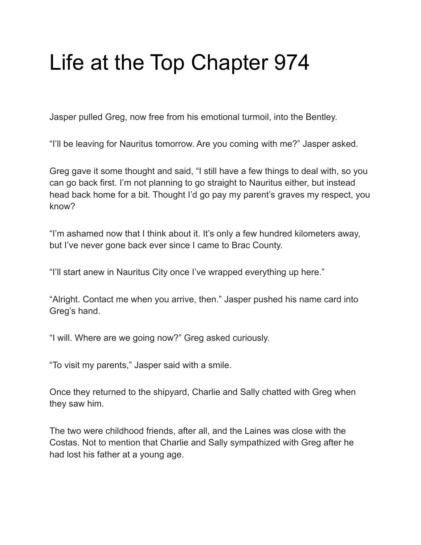## Life at the Top Chapter 974

Jasper pulled Greg, now free from his emotional turmoil, into the Bentley.

"I'll be leaving for Nauritus tomorrow. Are you coming with me?" Jasper asked.

Greg gave it some thought and said, "I still have a few things to deal with, so you can go back first. I'm not planning to go straight to Nauritus either, but instead head back home for a bit. Thought I'd go pay my parent's graves my respect, you know?

"I'm ashamed now that I think about it. It's only a few hundred kilometers away, but I've never gone back ever since I came to Brac County.

"I'll start anew in Nauritus City once I've wrapped everything up here."

"Alright. Contact me when you arrive, then." Jasper pushed his name card into Greg's hand.

"I will. Where are we going now?" Greg asked curiously.

"To visit my parents," Jasper said with a smile.

Once they returned to the shipyard, Charlie and Sally chatted with Greg when they saw him.

The two were childhood friends, after all, and the Laines was close with the Costas. Not to mention that Charlie and Sally sympathized with Greg after he had lost his father at a young age.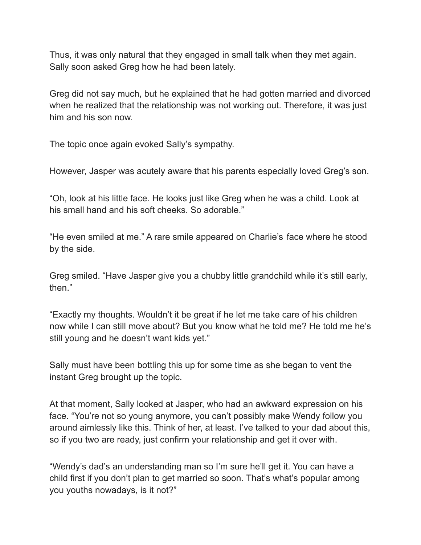Thus, it was only natural that they engaged in small talk when they met again. Sally soon asked Greg how he had been lately.

Greg did not say much, but he explained that he had gotten married and divorced when he realized that the relationship was not working out. Therefore, it was just him and his son now.

The topic once again evoked Sally's sympathy.

However, Jasper was acutely aware that his parents especially loved Greg's son.

"Oh, look at his little face. He looks just like Greg when he was a child. Look at his small hand and his soft cheeks. So adorable."

"He even smiled at me." A rare smile appeared on Charlie's face where he stood by the side.

Greg smiled. "Have Jasper give you a chubby little grandchild while it's still early, then."

"Exactly my thoughts. Wouldn't it be great if he let me take care of his children now while I can still move about? But you know what he told me? He told me he's still young and he doesn't want kids yet."

Sally must have been bottling this up for some time as she began to vent the instant Greg brought up the topic.

At that moment, Sally looked at Jasper, who had an awkward expression on his face. "You're not so young anymore, you can't possibly make Wendy follow you around aimlessly like this. Think of her, at least. I've talked to your dad about this, so if you two are ready, just confirm your relationship and get it over with.

"Wendy's dad's an understanding man so I'm sure he'll get it. You can have a child first if you don't plan to get married so soon. That's what's popular among you youths nowadays, is it not?"